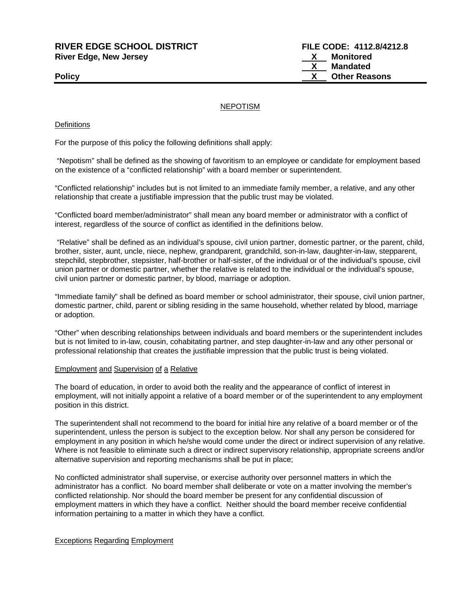# **RIVER EDGE SCHOOL DISTRICT FILE CODE: 4112.8/4212.8 River Edge, New Jersey X Monitored**

# **X Mandated Policy CONSERVING CONSERVANCE CONSERVANCE CONSERVANCE CONSERVANCE CONSERVANCE CONSERVANCE CONSERVANCE CONSERVANCE CONSERVANCE CONSERVANCE CONSERVANCE CONSERVANCE CONSERVANCE CONSERVANCE CONSERVANCE CONSERVANCE CONSERVAN**

# NEPOTISM

# **Definitions**

For the purpose of this policy the following definitions shall apply:

"Nepotism" shall be defined as the showing of favoritism to an employee or candidate for employment based on the existence of a "conflicted relationship" with a board member or superintendent.

"Conflicted relationship" includes but is not limited to an immediate family member, a relative, and any other relationship that create a justifiable impression that the public trust may be violated.

"Conflicted board member/administrator" shall mean any board member or administrator with a conflict of interest, regardless of the source of conflict as identified in the definitions below.

"Relative" shall be defined as an individual's spouse, civil union partner, domestic partner, or the parent, child, brother, sister, aunt, uncle, niece, nephew, grandparent, grandchild, son-in-law, daughter-in-law, stepparent, stepchild, stepbrother, stepsister, half-brother or half-sister, of the individual or of the individual's spouse, civil union partner or domestic partner, whether the relative is related to the individual or the individual's spouse, civil union partner or domestic partner, by blood, marriage or adoption.

"Immediate family" shall be defined as board member or school administrator, their spouse, civil union partner, domestic partner, child, parent or sibling residing in the same household, whether related by blood, marriage or adoption.

"Other" when describing relationships between individuals and board members or the superintendent includes but is not limited to in-law, cousin, cohabitating partner, and step daughter-in-law and any other personal or professional relationship that creates the justifiable impression that the public trust is being violated.

# Employment and Supervision of a Relative

The board of education, in order to avoid both the reality and the appearance of conflict of interest in employment, will not initially appoint a relative of a board member or of the superintendent to any employment position in this district.

The superintendent shall not recommend to the board for initial hire any relative of a board member or of the superintendent, unless the person is subject to the exception below. Nor shall any person be considered for employment in any position in which he/she would come under the direct or indirect supervision of any relative. Where is not feasible to eliminate such a direct or indirect supervisory relationship, appropriate screens and/or alternative supervision and reporting mechanisms shall be put in place;

No conflicted administrator shall supervise, or exercise authority over personnel matters in which the administrator has a conflict. No board member shall deliberate or vote on a matter involving the member's conflicted relationship. Nor should the board member be present for any confidential discussion of employment matters in which they have a conflict. Neither should the board member receive confidential information pertaining to a matter in which they have a conflict.

# Exceptions Regarding Employment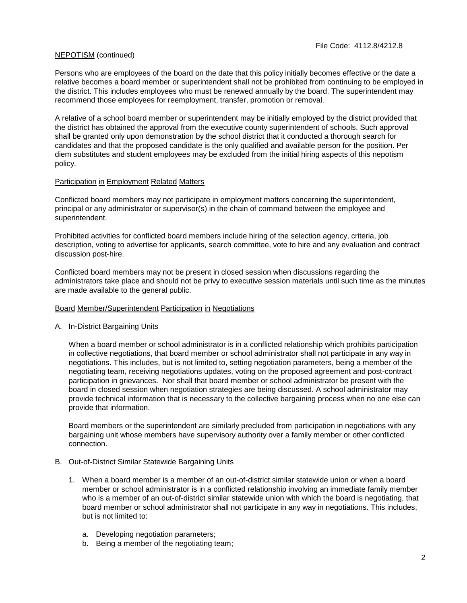# NEPOTISM (continued)

Persons who are employees of the board on the date that this policy initially becomes effective or the date a relative becomes a board member or superintendent shall not be prohibited from continuing to be employed in the district. This includes employees who must be renewed annually by the board. The superintendent may recommend those employees for reemployment, transfer, promotion or removal.

A relative of a school board member or superintendent may be initially employed by the district provided that the district has obtained the approval from the executive county superintendent of schools. Such approval shall be granted only upon demonstration by the school district that it conducted a thorough search for candidates and that the proposed candidate is the only qualified and available person for the position. Per diem substitutes and student employees may be excluded from the initial hiring aspects of this nepotism policy.

# Participation in Employment Related Matters

Conflicted board members may not participate in employment matters concerning the superintendent, principal or any administrator or supervisor(s) in the chain of command between the employee and superintendent.

Prohibited activities for conflicted board members include hiring of the selection agency, criteria, job description, voting to advertise for applicants, search committee, vote to hire and any evaluation and contract discussion post-hire.

Conflicted board members may not be present in closed session when discussions regarding the administrators take place and should not be privy to executive session materials until such time as the minutes are made available to the general public.

# Board Member/Superintendent Participation in Negotiations

A. In-District Bargaining Units

When a board member or school administrator is in a conflicted relationship which prohibits participation in collective negotiations, that board member or school administrator shall not participate in any way in negotiations. This includes, but is not limited to, setting negotiation parameters, being a member of the negotiating team, receiving negotiations updates, voting on the proposed agreement and post-contract participation in grievances. Nor shall that board member or school administrator be present with the board in closed session when negotiation strategies are being discussed. A school administrator may provide technical information that is necessary to the collective bargaining process when no one else can provide that information.

Board members or the superintendent are similarly precluded from participation in negotiations with any bargaining unit whose members have supervisory authority over a family member or other conflicted connection.

- B. Out-of-District Similar Statewide Bargaining Units
	- 1. When a board member is a member of an out-of-district similar statewide union or when a board member or school administrator is in a conflicted relationship involving an immediate family member who is a member of an out-of-district similar statewide union with which the board is negotiating, that board member or school administrator shall not participate in any way in negotiations. This includes, but is not limited to:
		- a. Developing negotiation parameters;
		- b. Being a member of the negotiating team;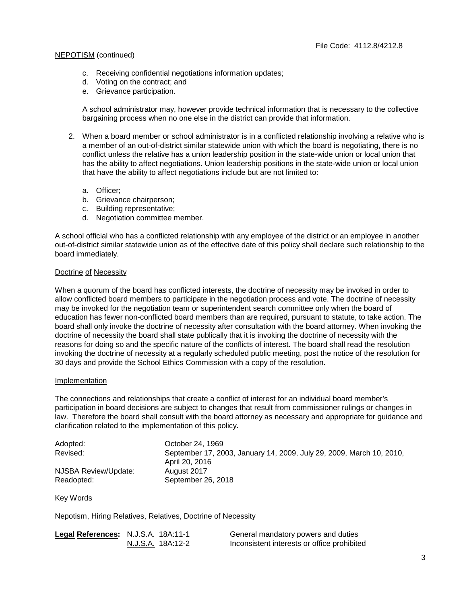# NEPOTISM (continued)

- c. Receiving confidential negotiations information updates;
- d. Voting on the contract; and
- e. Grievance participation.

A school administrator may, however provide technical information that is necessary to the collective bargaining process when no one else in the district can provide that information.

- 2. When a board member or school administrator is in a conflicted relationship involving a relative who is a member of an out-of-district similar statewide union with which the board is negotiating, there is no conflict unless the relative has a union leadership position in the state-wide union or local union that has the ability to affect negotiations. Union leadership positions in the state-wide union or local union that have the ability to affect negotiations include but are not limited to:
	- a. Officer;
	- b. Grievance chairperson;
	- c. Building representative;
	- d. Negotiation committee member.

A school official who has a conflicted relationship with any employee of the district or an employee in another out-of-district similar statewide union as of the effective date of this policy shall declare such relationship to the board immediately.

#### Doctrine of Necessity

When a quorum of the board has conflicted interests, the doctrine of necessity may be invoked in order to allow conflicted board members to participate in the negotiation process and vote. The doctrine of necessity may be invoked for the negotiation team or superintendent search committee only when the board of education has fewer non-conflicted board members than are required, pursuant to statute, to take action. The board shall only invoke the doctrine of necessity after consultation with the board attorney. When invoking the doctrine of necessity the board shall state publically that it is invoking the doctrine of necessity with the reasons for doing so and the specific nature of the conflicts of interest. The board shall read the resolution invoking the doctrine of necessity at a regularly scheduled public meeting, post the notice of the resolution for 30 days and provide the School Ethics Commission with a copy of the resolution.

#### Implementation

The connections and relationships that create a conflict of interest for an individual board member's participation in board decisions are subject to changes that result from commissioner rulings or changes in law. Therefore the board shall consult with the board attorney as necessary and appropriate for guidance and clarification related to the implementation of this policy.

| Adopted:             | October 24, 1969                                                     |
|----------------------|----------------------------------------------------------------------|
| Revised:             | September 17, 2003, January 14, 2009, July 29, 2009, March 10, 2010, |
|                      | April 20, 2016                                                       |
| NJSBA Review/Update: | August 2017                                                          |
| Readopted:           | September 26, 2018                                                   |

Key Words

Nepotism, Hiring Relatives, Relatives, Doctrine of Necessity

| Legal References: N.J.S.A. 18A:11-1 |                   | General mandatory powers and duties         |
|-------------------------------------|-------------------|---------------------------------------------|
|                                     | N.J.S.A. 18A:12-2 | Inconsistent interests or office prohibited |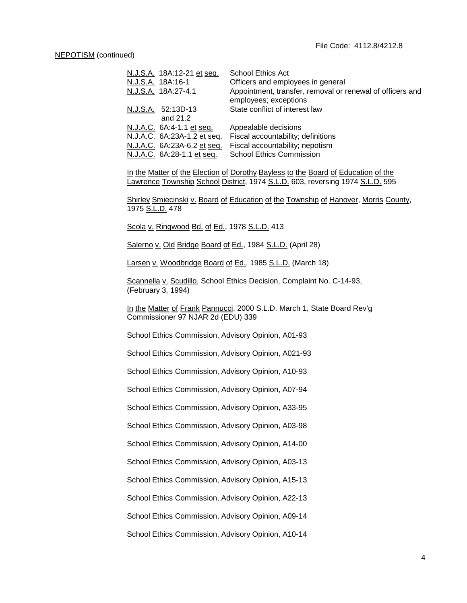| N.J.S.A. 18A:12-21 et seq.  | School Ethics Act                                                                  |
|-----------------------------|------------------------------------------------------------------------------------|
| N.J.S.A. 18A:16-1           | Officers and employees in general                                                  |
| N.J.S.A. 18A:27-4.1         | Appointment, transfer, removal or renewal of officers and<br>employees; exceptions |
| N.J.S.A. 52:13D-13          | State conflict of interest law                                                     |
| and 21.2                    |                                                                                    |
| N.J.A.C. 6A:4-1.1 et seq.   | Appealable decisions                                                               |
| N.J.A.C. 6A:23A-1.2 et seq. | Fiscal accountability; definitions                                                 |
| N.J.A.C. 6A:23A-6.2 et seq. | Fiscal accountability; nepotism                                                    |
| N.J.A.C. 6A:28-1.1 et seq.  | <b>School Ethics Commission</b>                                                    |

In the Matter of the Election of Dorothy Bayless to the Board of Education of the Lawrence Township School District, 1974 S.L.D. 603, reversing 1974 S.L.D. 595

Shirley Smiecinski v. Board of Education of the Township of Hanover, Morris County, 1975 S.L.D. 478

Scola v. Ringwood Bd. of Ed., 1978 S.L.D. 413

Salerno v. Old Bridge Board of Ed., 1984 S.L.D. (April 28)

Larsen v. Woodbridge Board of Ed., 1985 S.L.D. (March 18)

Scannella v. Scudillo, School Ethics Decision, Complaint No. C-14-93, (February 3, 1994)

In the Matter of Frank Pannucci, 2000 S.L.D. March 1, State Board Rev'g Commissioner 97 NJAR 2d (EDU) 339

School Ethics Commission, Advisory Opinion, A01-93

School Ethics Commission, Advisory Opinion, A021-93

School Ethics Commission, Advisory Opinion, A10-93

School Ethics Commission, Advisory Opinion, A07-94

School Ethics Commission, Advisory Opinion, A33-95

School Ethics Commission, Advisory Opinion, A03-98

School Ethics Commission, Advisory Opinion, A14-00

School Ethics Commission, Advisory Opinion, A03-13

School Ethics Commission, Advisory Opinion, A15-13

School Ethics Commission, Advisory Opinion, A22-13

School Ethics Commission, Advisory Opinion, A09-14

School Ethics Commission, Advisory Opinion, A10-14